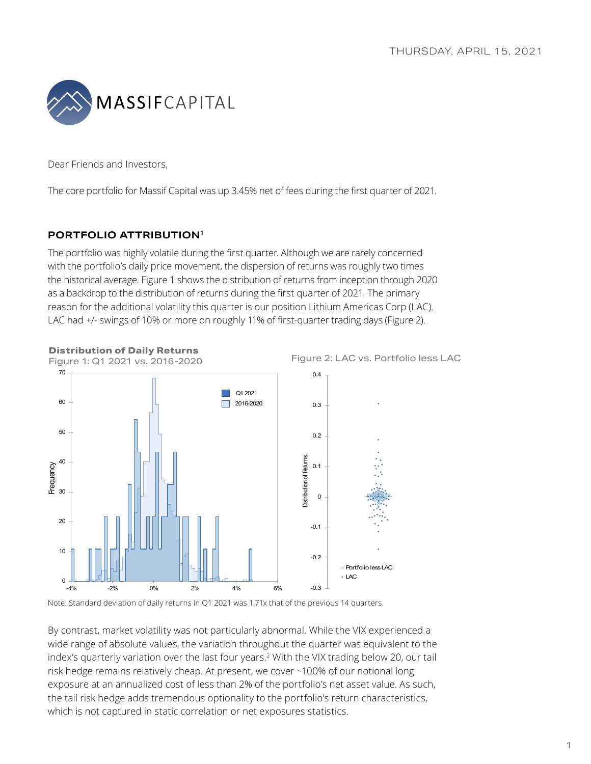

Dear Friends and Investors,

The core portfolio for Massif Capital was up 3.45% net of fees during the first quarter of 2021.

## **PORTFOLIO ATTRIBUTION1**

**Distribution of Daily Returns** 

The portfolio was highly volatile during the first quarter. Although we are rarely concerned with the portfolio's daily price movement, the dispersion of returns was roughly two times the historical average. Figure 1 shows the distribution of returns from inception through 2020 as a backdrop to the distribution of returns during the first quarter of 2021. The primary reason for the additional volatility this quarter is our position Lithium Americas Corp (LAC). LAC had +/- swings of 10% or more on roughly 11% of first-quarter trading days (Figure 2).



Figure 2: LAC vs. Portfolio less LAC

Note: Standard deviation of daily returns in Q1 2021 was 1.71x that of the previous 14 quarters.

By contrast, market volatility was not particularly abnormal. While the VIX experienced a wide range of absolute values, the variation throughout the quarter was equivalent to the index's quarterly variation over the last four years.2 With the VIX trading below 20, our tail risk hedge remains relatively cheap. At present, we cover ~100% of our notional long exposure at an annualized cost of less than 2% of the portfolio's net asset value. As such, the tail risk hedge adds tremendous optionality to the portfolio's return characteristics, which is not captured in static correlation or net exposures statistics.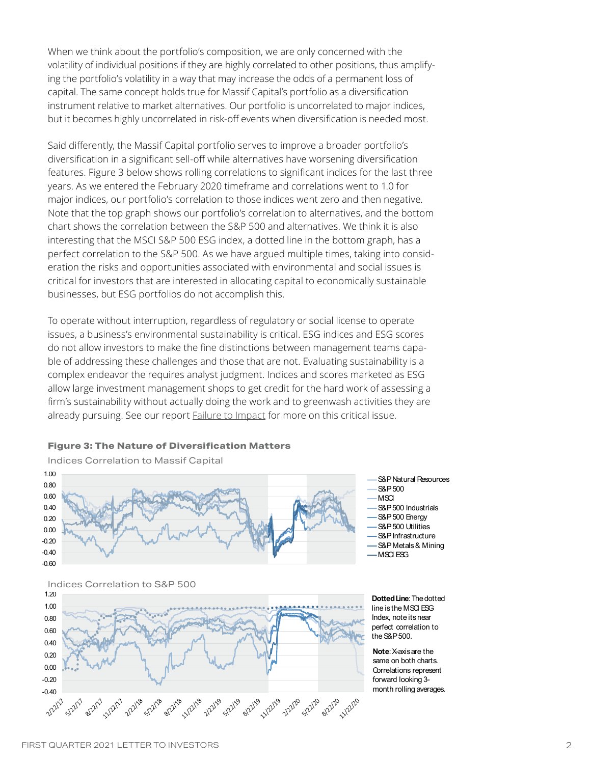When we think about the portfolio's composition, we are only concerned with the volatility of individual positions if they are highly correlated to other positions, thus amplifying the portfolio's volatility in a way that may increase the odds of a permanent loss of capital. The same concept holds true for Massif Capital's portfolio as a diversification instrument relative to market alternatives. Our portfolio is uncorrelated to major indices, but it becomes highly uncorrelated in risk-off events when diversification is needed most.

Said differently, the Massif Capital portfolio serves to improve a broader portfolio's diversification in a significant sell-off while alternatives have worsening diversification features. Figure 3 below shows rolling correlations to significant indices for the last three years. As we entered the February 2020 timeframe and correlations went to 1.0 for major indices, our portfolio's correlation to those indices went zero and then negative. Note that the top graph shows our portfolio's correlation to alternatives, and the bottom chart shows the correlation between the S&P 500 and alternatives. We think it is also interesting that the MSCI S&P 500 ESG index, a dotted line in the bottom graph, has a perfect correlation to the S&P 500. As we have argued multiple times, taking into consideration the risks and opportunities associated with environmental and social issues is critical for investors that are interested in allocating capital to economically sustainable businesses, but ESG portfolios do not accomplish this.

To operate without interruption, regardless of regulatory or social license to operate issues, a business's environmental sustainability is critical. ESG indices and ESG scores do not allow investors to make the fine distinctions between management teams capable of addressing these challenges and those that are not. Evaluating sustainability is a complex endeavor the requires analyst judgment. Indices and scores marketed as ESG allow large investment management shops to get credit for the hard work of assessing a firm's sustainability without actually doing the work and to greenwash activities they are already pursuing. See our report [Failure to Impact](https://info.massifcap.com/download-failure-to-impact-are-esg-funds-delivering-on-investors-ambitions) for more on this critical issue.

#### **Figure 3: The Nature of Diversification Matters**



ices Correlation to Massif Cap Indicies Correlation to Massif Capital Indices Correlation to Massif Capital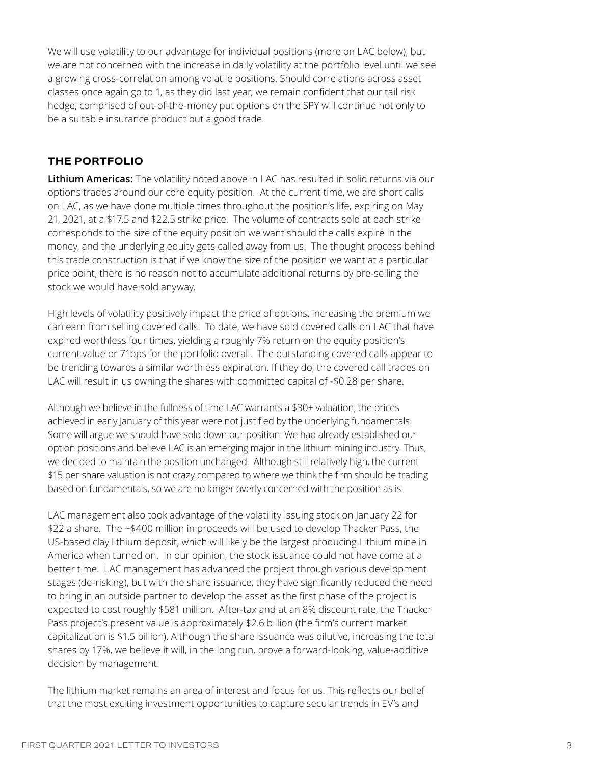We will use volatility to our advantage for individual positions (more on LAC below), but we are not concerned with the increase in daily volatility at the portfolio level until we see a growing cross-correlation among volatile positions. Should correlations across asset classes once again go to 1, as they did last year, we remain confident that our tail risk hedge, comprised of out-of-the-money put options on the SPY will continue not only to be a suitable insurance product but a good trade.

### **THE PORTFOLIO**

**Lithium Americas:** The volatility noted above in LAC has resulted in solid returns via our options trades around our core equity position. At the current time, we are short calls on LAC, as we have done multiple times throughout the position's life, expiring on May 21, 2021, at a \$17.5 and \$22.5 strike price. The volume of contracts sold at each strike corresponds to the size of the equity position we want should the calls expire in the money, and the underlying equity gets called away from us. The thought process behind this trade construction is that if we know the size of the position we want at a particular price point, there is no reason not to accumulate additional returns by pre-selling the stock we would have sold anyway.

High levels of volatility positively impact the price of options, increasing the premium we can earn from selling covered calls. To date, we have sold covered calls on LAC that have expired worthless four times, yielding a roughly 7% return on the equity position's current value or 71bps for the portfolio overall. The outstanding covered calls appear to be trending towards a similar worthless expiration. If they do, the covered call trades on LAC will result in us owning the shares with committed capital of -\$0.28 per share.

Although we believe in the fullness of time LAC warrants a \$30+ valuation, the prices achieved in early January of this year were not justified by the underlying fundamentals. Some will argue we should have sold down our position. We had already established our option positions and believe LAC is an emerging major in the lithium mining industry. Thus, we decided to maintain the position unchanged. Although still relatively high, the current \$15 per share valuation is not crazy compared to where we think the firm should be trading based on fundamentals, so we are no longer overly concerned with the position as is.

LAC management also took advantage of the volatility issuing stock on January 22 for \$22 a share. The ~\$400 million in proceeds will be used to develop Thacker Pass, the US-based clay lithium deposit, which will likely be the largest producing Lithium mine in America when turned on. In our opinion, the stock issuance could not have come at a better time. LAC management has advanced the project through various development stages (de-risking), but with the share issuance, they have significantly reduced the need to bring in an outside partner to develop the asset as the first phase of the project is expected to cost roughly \$581 million. After-tax and at an 8% discount rate, the Thacker Pass project's present value is approximately \$2.6 billion (the firm's current market capitalization is \$1.5 billion). Although the share issuance was dilutive, increasing the total shares by 17%, we believe it will, in the long run, prove a forward-looking, value-additive decision by management.

The lithium market remains an area of interest and focus for us. This reflects our belief that the most exciting investment opportunities to capture secular trends in EV's and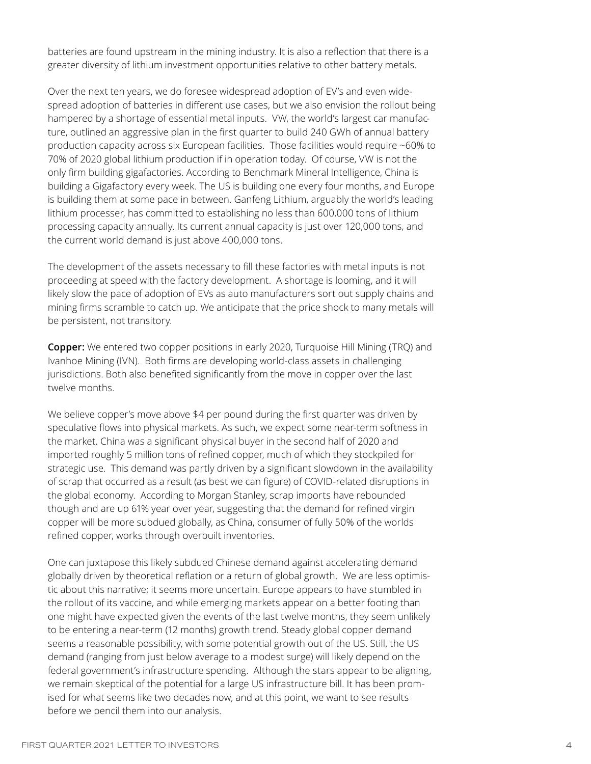batteries are found upstream in the mining industry. It is also a reflection that there is a greater diversity of lithium investment opportunities relative to other battery metals.

Over the next ten years, we do foresee widespread adoption of EV's and even widespread adoption of batteries in different use cases, but we also envision the rollout being hampered by a shortage of essential metal inputs. VW, the world's largest car manufacture, outlined an aggressive plan in the first quarter to build 240 GWh of annual battery production capacity across six European facilities. Those facilities would require ~60% to 70% of 2020 global lithium production if in operation today. Of course, VW is not the only firm building gigafactories. According to Benchmark Mineral Intelligence, China is building a Gigafactory every week. The US is building one every four months, and Europe is building them at some pace in between. Ganfeng Lithium, arguably the world's leading lithium processer, has committed to establishing no less than 600,000 tons of lithium processing capacity annually. Its current annual capacity is just over 120,000 tons, and the current world demand is just above 400,000 tons.

The development of the assets necessary to fill these factories with metal inputs is not proceeding at speed with the factory development. A shortage is looming, and it will likely slow the pace of adoption of EVs as auto manufacturers sort out supply chains and mining firms scramble to catch up. We anticipate that the price shock to many metals will be persistent, not transitory.

**Copper:** We entered two copper positions in early 2020, Turquoise Hill Mining (TRQ) and Ivanhoe Mining (IVN). Both firms are developing world-class assets in challenging jurisdictions. Both also benefited significantly from the move in copper over the last twelve months.

We believe copper's move above \$4 per pound during the first quarter was driven by speculative flows into physical markets. As such, we expect some near-term softness in the market. China was a significant physical buyer in the second half of 2020 and imported roughly 5 million tons of refined copper, much of which they stockpiled for strategic use. This demand was partly driven by a significant slowdown in the availability of scrap that occurred as a result (as best we can figure) of COVID-related disruptions in the global economy. According to Morgan Stanley, scrap imports have rebounded though and are up 61% year over year, suggesting that the demand for refined virgin copper will be more subdued globally, as China, consumer of fully 50% of the worlds refined copper, works through overbuilt inventories.

One can juxtapose this likely subdued Chinese demand against accelerating demand globally driven by theoretical reflation or a return of global growth. We are less optimistic about this narrative; it seems more uncertain. Europe appears to have stumbled in the rollout of its vaccine, and while emerging markets appear on a better footing than one might have expected given the events of the last twelve months, they seem unlikely to be entering a near-term (12 months) growth trend. Steady global copper demand seems a reasonable possibility, with some potential growth out of the US. Still, the US demand (ranging from just below average to a modest surge) will likely depend on the federal government's infrastructure spending. Although the stars appear to be aligning, we remain skeptical of the potential for a large US infrastructure bill. It has been promised for what seems like two decades now, and at this point, we want to see results before we pencil them into our analysis.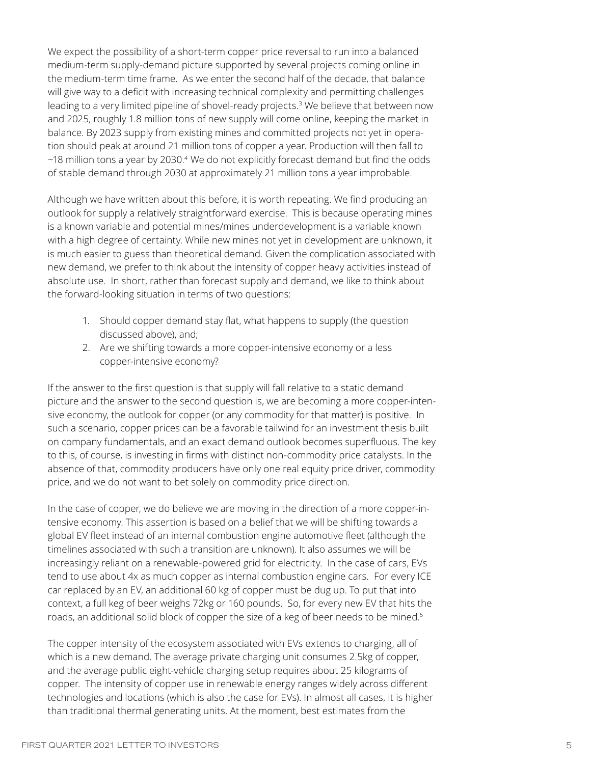We expect the possibility of a short-term copper price reversal to run into a balanced medium-term supply-demand picture supported by several projects coming online in the medium-term time frame. As we enter the second half of the decade, that balance will give way to a deficit with increasing technical complexity and permitting challenges leading to a very limited pipeline of shovel-ready projects.<sup>3</sup> We believe that between now and 2025, roughly 1.8 million tons of new supply will come online, keeping the market in balance. By 2023 supply from existing mines and committed projects not yet in operation should peak at around 21 million tons of copper a year. Production will then fall to  $\sim$ 18 million tons a year by 2030.<sup>4</sup> We do not explicitly forecast demand but find the odds of stable demand through 2030 at approximately 21 million tons a year improbable.

Although we have written about this before, it is worth repeating. We find producing an outlook for supply a relatively straightforward exercise. This is because operating mines is a known variable and potential mines/mines underdevelopment is a variable known with a high degree of certainty. While new mines not yet in development are unknown, it is much easier to guess than theoretical demand. Given the complication associated with new demand, we prefer to think about the intensity of copper heavy activities instead of absolute use. In short, rather than forecast supply and demand, we like to think about the forward-looking situation in terms of two questions:

- 1. Should copper demand stay flat, what happens to supply (the question discussed above), and;
- 2. Are we shifting towards a more copper-intensive economy or a less copper-intensive economy?

If the answer to the first question is that supply will fall relative to a static demand picture and the answer to the second question is, we are becoming a more copper-intensive economy, the outlook for copper (or any commodity for that matter) is positive. In such a scenario, copper prices can be a favorable tailwind for an investment thesis built on company fundamentals, and an exact demand outlook becomes superfluous. The key to this, of course, is investing in firms with distinct non-commodity price catalysts. In the absence of that, commodity producers have only one real equity price driver, commodity price, and we do not want to bet solely on commodity price direction.

In the case of copper, we do believe we are moving in the direction of a more copper-intensive economy. This assertion is based on a belief that we will be shifting towards a global EV fleet instead of an internal combustion engine automotive fleet (although the timelines associated with such a transition are unknown). It also assumes we will be increasingly reliant on a renewable-powered grid for electricity. In the case of cars, EVs tend to use about 4x as much copper as internal combustion engine cars. For every ICE car replaced by an EV, an additional 60 kg of copper must be dug up. To put that into context, a full keg of beer weighs 72kg or 160 pounds. So, for every new EV that hits the roads, an additional solid block of copper the size of a keg of beer needs to be mined. $5$ 

The copper intensity of the ecosystem associated with EVs extends to charging, all of which is a new demand. The average private charging unit consumes 2.5kg of copper, and the average public eight-vehicle charging setup requires about 25 kilograms of copper. The intensity of copper use in renewable energy ranges widely across different technologies and locations (which is also the case for EVs). In almost all cases, it is higher than traditional thermal generating units. At the moment, best estimates from the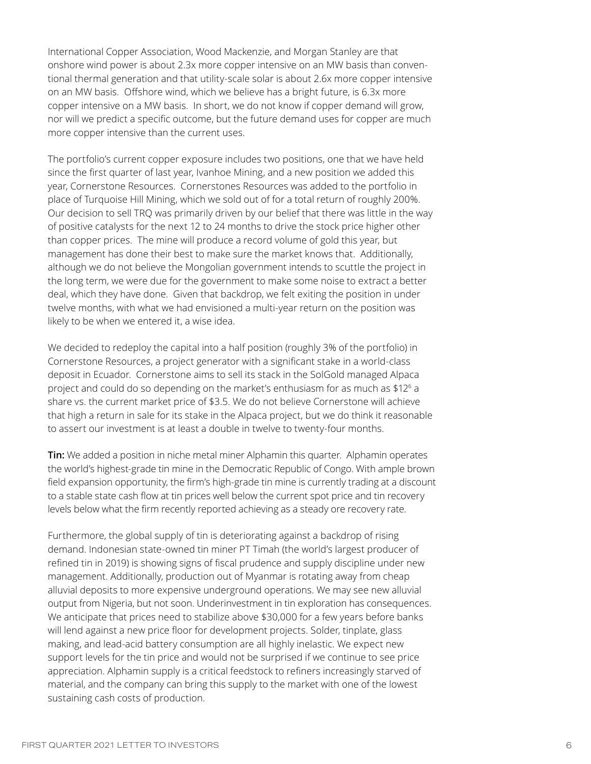International Copper Association, Wood Mackenzie, and Morgan Stanley are that onshore wind power is about 2.3x more copper intensive on an MW basis than conventional thermal generation and that utility-scale solar is about 2.6x more copper intensive on an MW basis. Offshore wind, which we believe has a bright future, is 6.3x more copper intensive on a MW basis. In short, we do not know if copper demand will grow, nor will we predict a specific outcome, but the future demand uses for copper are much more copper intensive than the current uses.

The portfolio's current copper exposure includes two positions, one that we have held since the first quarter of last year, Ivanhoe Mining, and a new position we added this year, Cornerstone Resources. Cornerstones Resources was added to the portfolio in place of Turquoise Hill Mining, which we sold out of for a total return of roughly 200%. Our decision to sell TRQ was primarily driven by our belief that there was little in the way of positive catalysts for the next 12 to 24 months to drive the stock price higher other than copper prices. The mine will produce a record volume of gold this year, but management has done their best to make sure the market knows that. Additionally, although we do not believe the Mongolian government intends to scuttle the project in the long term, we were due for the government to make some noise to extract a better deal, which they have done. Given that backdrop, we felt exiting the position in under twelve months, with what we had envisioned a multi-year return on the position was likely to be when we entered it, a wise idea.

We decided to redeploy the capital into a half position (roughly 3% of the portfolio) in Cornerstone Resources, a project generator with a significant stake in a world-class deposit in Ecuador. Cornerstone aims to sell its stack in the SolGold managed Alpaca project and could do so depending on the market's enthusiasm for as much as  $$12<sup>6</sup>$  a share vs. the current market price of \$3.5. We do not believe Cornerstone will achieve that high a return in sale for its stake in the Alpaca project, but we do think it reasonable to assert our investment is at least a double in twelve to twenty-four months.

**Tin:** We added a position in niche metal miner Alphamin this quarter. Alphamin operates the world's highest-grade tin mine in the Democratic Republic of Congo. With ample brown field expansion opportunity, the firm's high-grade tin mine is currently trading at a discount to a stable state cash flow at tin prices well below the current spot price and tin recovery levels below what the firm recently reported achieving as a steady ore recovery rate.

Furthermore, the global supply of tin is deteriorating against a backdrop of rising demand. Indonesian state-owned tin miner PT Timah (the world's largest producer of refined tin in 2019) is showing signs of fiscal prudence and supply discipline under new management. Additionally, production out of Myanmar is rotating away from cheap alluvial deposits to more expensive underground operations. We may see new alluvial output from Nigeria, but not soon. Underinvestment in tin exploration has consequences. We anticipate that prices need to stabilize above \$30,000 for a few years before banks will lend against a new price floor for development projects. Solder, tinplate, glass making, and lead-acid battery consumption are all highly inelastic. We expect new support levels for the tin price and would not be surprised if we continue to see price appreciation. Alphamin supply is a critical feedstock to refiners increasingly starved of material, and the company can bring this supply to the market with one of the lowest sustaining cash costs of production.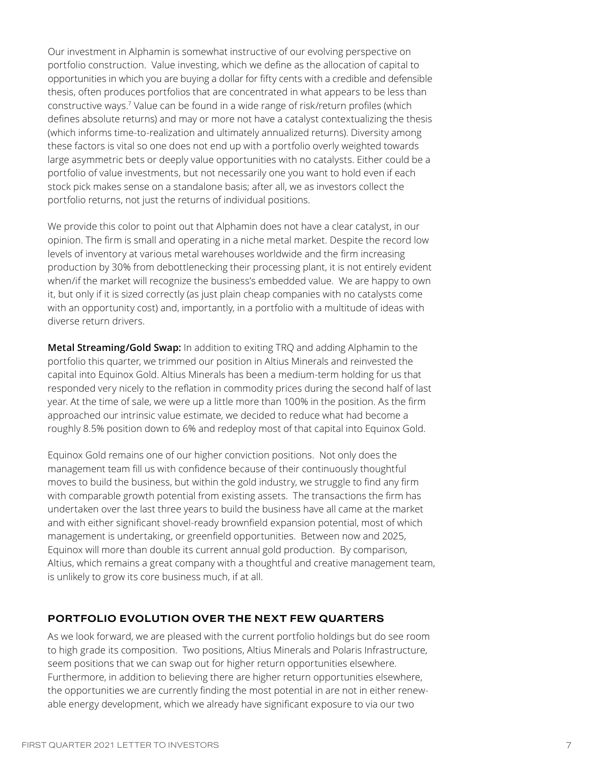Our investment in Alphamin is somewhat instructive of our evolving perspective on portfolio construction. Value investing, which we define as the allocation of capital to opportunities in which you are buying a dollar for fifty cents with a credible and defensible thesis, often produces portfolios that are concentrated in what appears to be less than constructive ways.<sup>7</sup> Value can be found in a wide range of risk/return profiles (which defines absolute returns) and may or more not have a catalyst contextualizing the thesis (which informs time-to-realization and ultimately annualized returns). Diversity among these factors is vital so one does not end up with a portfolio overly weighted towards large asymmetric bets or deeply value opportunities with no catalysts. Either could be a portfolio of value investments, but not necessarily one you want to hold even if each stock pick makes sense on a standalone basis; after all, we as investors collect the portfolio returns, not just the returns of individual positions.

We provide this color to point out that Alphamin does not have a clear catalyst, in our opinion. The firm is small and operating in a niche metal market. Despite the record low levels of inventory at various metal warehouses worldwide and the firm increasing production by 30% from debottlenecking their processing plant, it is not entirely evident when/if the market will recognize the business's embedded value. We are happy to own it, but only if it is sized correctly (as just plain cheap companies with no catalysts come with an opportunity cost) and, importantly, in a portfolio with a multitude of ideas with diverse return drivers.

**Metal Streaming/Gold Swap:** In addition to exiting TRQ and adding Alphamin to the portfolio this quarter, we trimmed our position in Altius Minerals and reinvested the capital into Equinox Gold. Altius Minerals has been a medium-term holding for us that responded very nicely to the reflation in commodity prices during the second half of last year. At the time of sale, we were up a little more than 100% in the position. As the firm approached our intrinsic value estimate, we decided to reduce what had become a roughly 8.5% position down to 6% and redeploy most of that capital into Equinox Gold.

Equinox Gold remains one of our higher conviction positions. Not only does the management team fill us with confidence because of their continuously thoughtful moves to build the business, but within the gold industry, we struggle to find any firm with comparable growth potential from existing assets. The transactions the firm has undertaken over the last three years to build the business have all came at the market and with either significant shovel-ready brownfield expansion potential, most of which management is undertaking, or greenfield opportunities. Between now and 2025, Equinox will more than double its current annual gold production. By comparison, Altius, which remains a great company with a thoughtful and creative management team, is unlikely to grow its core business much, if at all.

### **PORTFOLIO EVOLUTION OVER THE NEXT FEW QUARTERS**

As we look forward, we are pleased with the current portfolio holdings but do see room to high grade its composition. Two positions, Altius Minerals and Polaris Infrastructure, seem positions that we can swap out for higher return opportunities elsewhere. Furthermore, in addition to believing there are higher return opportunities elsewhere, the opportunities we are currently finding the most potential in are not in either renewable energy development, which we already have significant exposure to via our two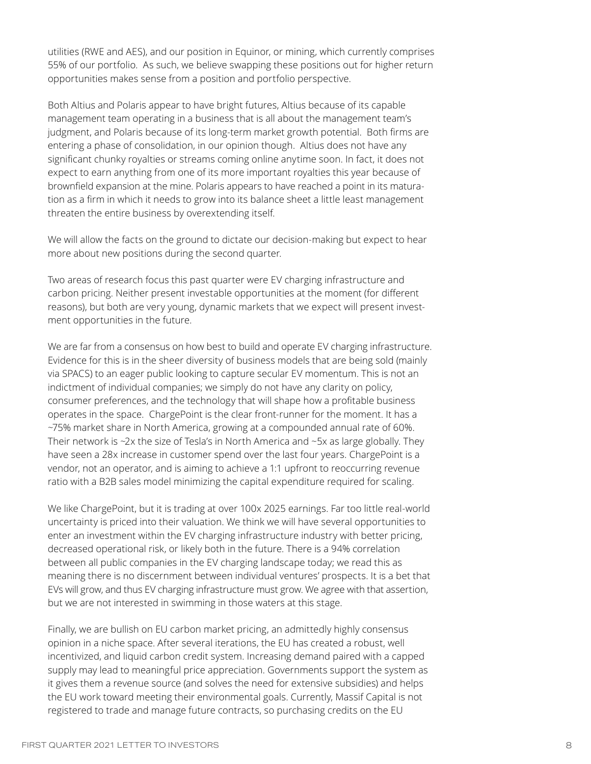utilities (RWE and AES), and our position in Equinor, or mining, which currently comprises 55% of our portfolio. As such, we believe swapping these positions out for higher return opportunities makes sense from a position and portfolio perspective.

Both Altius and Polaris appear to have bright futures, Altius because of its capable management team operating in a business that is all about the management team's judgment, and Polaris because of its long-term market growth potential. Both firms are entering a phase of consolidation, in our opinion though. Altius does not have any significant chunky royalties or streams coming online anytime soon. In fact, it does not expect to earn anything from one of its more important royalties this year because of brownfield expansion at the mine. Polaris appears to have reached a point in its maturation as a firm in which it needs to grow into its balance sheet a little least management threaten the entire business by overextending itself.

We will allow the facts on the ground to dictate our decision-making but expect to hear more about new positions during the second quarter.

Two areas of research focus this past quarter were EV charging infrastructure and carbon pricing. Neither present investable opportunities at the moment (for different reasons), but both are very young, dynamic markets that we expect will present investment opportunities in the future.

We are far from a consensus on how best to build and operate EV charging infrastructure. Evidence for this is in the sheer diversity of business models that are being sold (mainly via SPACS) to an eager public looking to capture secular EV momentum. This is not an indictment of individual companies; we simply do not have any clarity on policy, consumer preferences, and the technology that will shape how a profitable business operates in the space. ChargePoint is the clear front-runner for the moment. It has a ~75% market share in North America, growing at a compounded annual rate of 60%. Their network is ~2x the size of Tesla's in North America and ~5x as large globally. They have seen a 28x increase in customer spend over the last four years. ChargePoint is a vendor, not an operator, and is aiming to achieve a 1:1 upfront to reoccurring revenue ratio with a B2B sales model minimizing the capital expenditure required for scaling.

We like ChargePoint, but it is trading at over 100x 2025 earnings. Far too little real-world uncertainty is priced into their valuation. We think we will have several opportunities to enter an investment within the EV charging infrastructure industry with better pricing, decreased operational risk, or likely both in the future. There is a 94% correlation between all public companies in the EV charging landscape today; we read this as meaning there is no discernment between individual ventures' prospects. It is a bet that EVs will grow, and thus EV charging infrastructure must grow. We agree with that assertion, but we are not interested in swimming in those waters at this stage.

Finally, we are bullish on EU carbon market pricing, an admittedly highly consensus opinion in a niche space. After several iterations, the EU has created a robust, well incentivized, and liquid carbon credit system. Increasing demand paired with a capped supply may lead to meaningful price appreciation. Governments support the system as it gives them a revenue source (and solves the need for extensive subsidies) and helps the EU work toward meeting their environmental goals. Currently, Massif Capital is not registered to trade and manage future contracts, so purchasing credits on the EU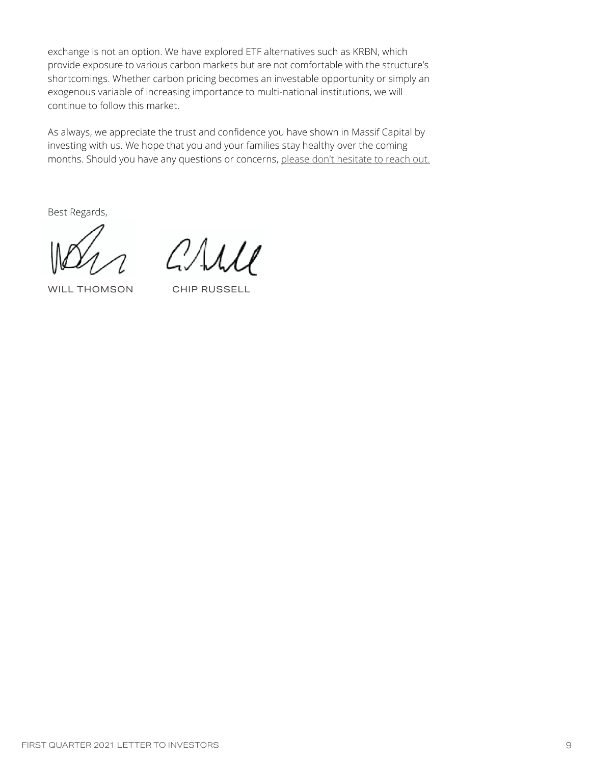exchange is not an option. We have explored ETF alternatives such as KRBN, which provide exposure to various carbon markets but are not comfortable with the structure's shortcomings. Whether carbon pricing becomes an investable opportunity or simply an exogenous variable of increasing importance to multi-national institutions, we will continue to follow this market.

As always, we appreciate the trust and confidence you have shown in Massif Capital by investing with us. We hope that you and your families stay healthy over the coming months. Should you have any questions or concerns, [please don't hesitate to reach out.](https://info.massifcap.com/schedule-a-call-with-a-massif-capital-portfolio-manager)

Best Regards,

 $71111$ 

WILL THOMSON CHIP RUSSELL